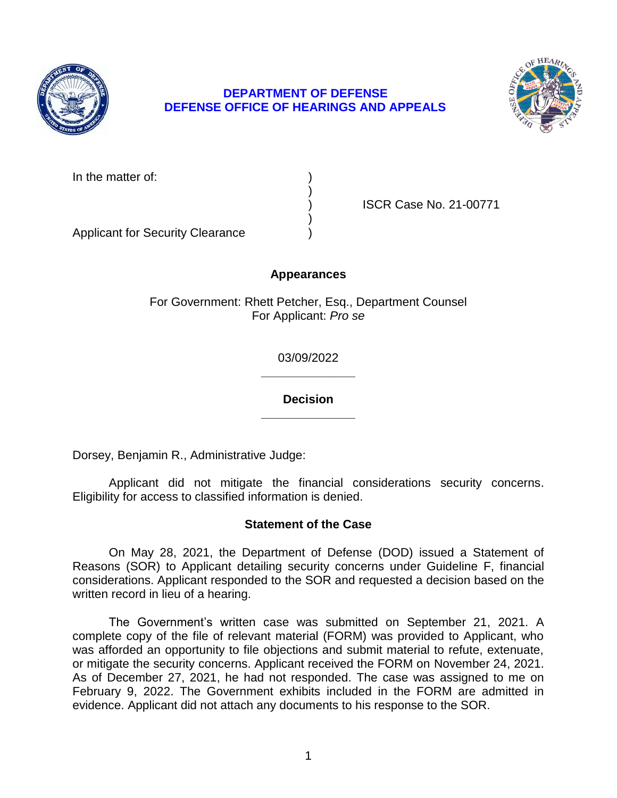

# **DEPARTMENT OF DEFENSE DEFENSE OFFICE OF HEARINGS AND APPEALS**



In the matter of:

) ISCR Case No. 21-00771

Applicant for Security Clearance )

## **Appearances**

)

)

For Government: Rhett Petcher, Esq., Department Counsel For Applicant: *Pro se* 

> **\_\_\_\_\_\_\_\_\_\_\_\_\_\_**  03/09/2022

> **\_\_\_\_\_\_\_\_\_\_\_\_\_\_ Decision**

Dorsey, Benjamin R., Administrative Judge:

 Applicant did not mitigate the financial considerations security concerns. Eligibility for access to classified information is denied.

### **Statement of the Case**

 On May 28, 2021, the Department of Defense (DOD) issued a Statement of considerations. Applicant responded to the SOR and requested a decision based on the Reasons (SOR) to Applicant detailing security concerns under Guideline F, financial written record in lieu of a hearing.

 The Government's written case was submitted on September 21, 2021. A complete copy of the file of relevant material (FORM) was provided to Applicant, who was afforded an opportunity to file objections and submit material to refute, extenuate, or mitigate the security concerns. Applicant received the FORM on November 24, 2021. As of December 27, 2021, he had not responded. The case was assigned to me on February 9, 2022. The Government exhibits included in the FORM are admitted in evidence. Applicant did not attach any documents to his response to the SOR.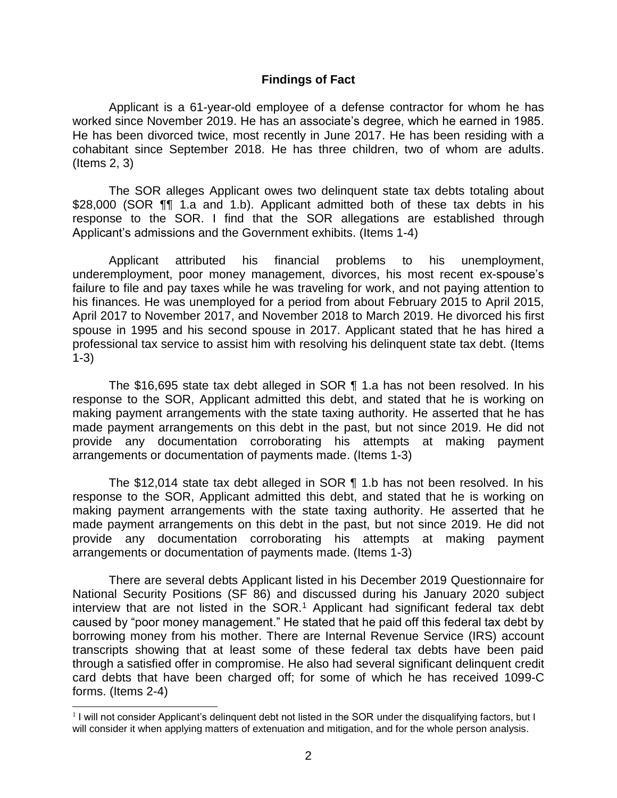#### **Findings of Fact**

 Applicant is a 61-year-old employee of a defense contractor for whom he has worked since November 2019. He has an associate's degree, which he earned in 1985. He has been divorced twice, most recently in June 2017. He has been residing with a cohabitant since September 2018. He has three children, two of whom are adults. (Items 2, 3)

 The SOR alleges Applicant owes two delinquent state tax debts totaling about \$28,000 (SOR ¶¶ 1.a and 1.b). Applicant admitted both of these tax debts in his response to the SOR. I find that the SOR allegations are established through Applicant's admissions and the Government exhibits. (Items 1-4)

 failure to file and pay taxes while he was traveling for work, and not paying attention to his finances. He was unemployed for a period from about February 2015 to April 2015, April 2017 to November 2017, and November 2018 to March 2019. He divorced his first spouse in 1995 and his second spouse in 2017. Applicant stated that he has hired a professional tax service to assist him with resolving his delinquent state tax debt. (Items Applicant attributed his financial problems to his unemployment, underemployment, poor money management, divorces, his most recent ex-spouse's 1-3)

 The \$16,695 state tax debt alleged in SOR ¶ 1.a has not been resolved. In his response to the SOR, Applicant admitted this debt, and stated that he is working on making payment arrangements with the state taxing authority. He asserted that he has made payment arrangements on this debt in the past, but not since 2019. He did not provide any documentation corroborating his attempts at making payment arrangements or documentation of payments made. (Items 1-3)

 The \$12,014 state tax debt alleged in SOR ¶ 1.b has not been resolved. In his response to the SOR, Applicant admitted this debt, and stated that he is working on making payment arrangements with the state taxing authority. He asserted that he made payment arrangements on this debt in the past, but not since 2019. He did not provide any documentation corroborating his attempts at making payment arrangements or documentation of payments made. (Items 1-3)

 National Security Positions (SF 86) and discussed during his January 2020 subject interview that are not listed in the  $SOR.^1$  Applicant had significant federal tax debt caused by "poor money management." He stated that he paid off this federal tax debt by borrowing money from his mother. There are Internal Revenue Service (IRS) account transcripts showing that at least some of these federal tax debts have been paid card debts that have been charged off; for some of which he has received 1099-C There are several debts Applicant listed in his December 2019 Questionnaire for through a satisfied offer in compromise. He also had several significant delinquent credit forms. (Items 2-4)

 $\overline{a}$ 

 will consider it when applying matters of extenuation and mitigation, and for the whole person analysis. <sup>1</sup>I will not consider Applicant's delinquent debt not listed in the SOR under the disqualifying factors, but I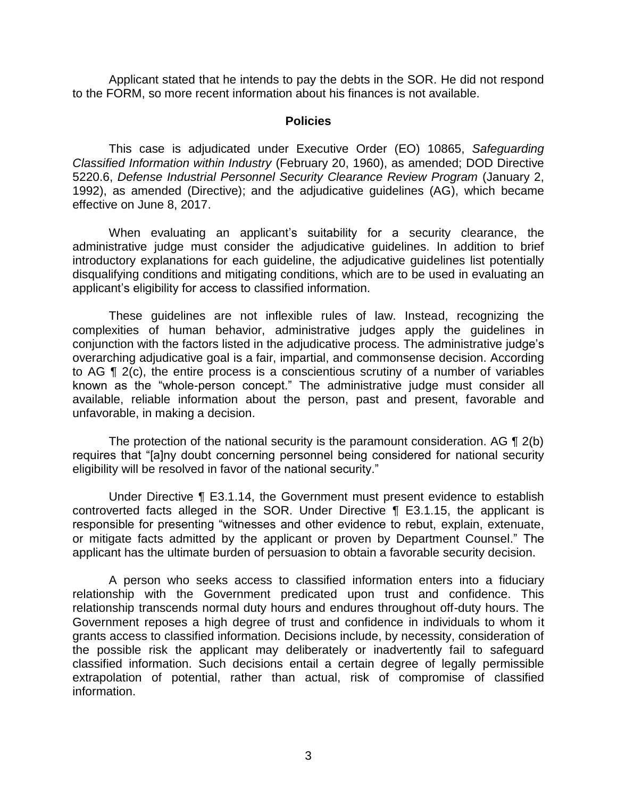Applicant stated that he intends to pay the debts in the SOR. He did not respond to the FORM, so more recent information about his finances is not available.

#### **Policies**

 *Classified Information within Industry* (February 20, 1960), as amended; DOD Directive 5220.6, *Defense Industrial Personnel Security Clearance Review Program* (January 2, 1992), as amended (Directive); and the adjudicative guidelines (AG), which became This case is adjudicated under Executive Order (EO) 10865, *Safeguarding*  effective on June 8, 2017.

 When evaluating an applicant's suitability for a security clearance, the administrative judge must consider the adjudicative guidelines. In addition to brief introductory explanations for each guideline, the adjudicative guidelines list potentially disqualifying conditions and mitigating conditions, which are to be used in evaluating an applicant's eligibility for access to classified information.

 These guidelines are not inflexible rules of law. Instead, recognizing the complexities of human behavior, administrative judges apply the guidelines in conjunction with the factors listed in the adjudicative process. The administrative judge's overarching adjudicative goal is a fair, impartial, and commonsense decision. According to AG ¶ 2(c), the entire process is a conscientious scrutiny of a number of variables known as the "whole-person concept." The administrative judge must consider all available, reliable information about the person, past and present, favorable and unfavorable, in making a decision.

The protection of the national security is the paramount consideration. AG  $\P$  2(b) requires that "[a]ny doubt concerning personnel being considered for national security eligibility will be resolved in favor of the national security."

 Under Directive ¶ E3.1.14, the Government must present evidence to establish controverted facts alleged in the SOR. Under Directive ¶ E3.1.15, the applicant is responsible for presenting "witnesses and other evidence to rebut, explain, extenuate, or mitigate facts admitted by the applicant or proven by Department Counsel." The applicant has the ultimate burden of persuasion to obtain a favorable security decision.

 A person who seeks access to classified information enters into a fiduciary relationship with the Government predicated upon trust and confidence. This relationship transcends normal duty hours and endures throughout off-duty hours. The Government reposes a high degree of trust and confidence in individuals to whom it grants access to classified information. Decisions include, by necessity, consideration of the possible risk the applicant may deliberately or inadvertently fail to safeguard classified information. Such decisions entail a certain degree of legally permissible extrapolation of potential, rather than actual, risk of compromise of classified information.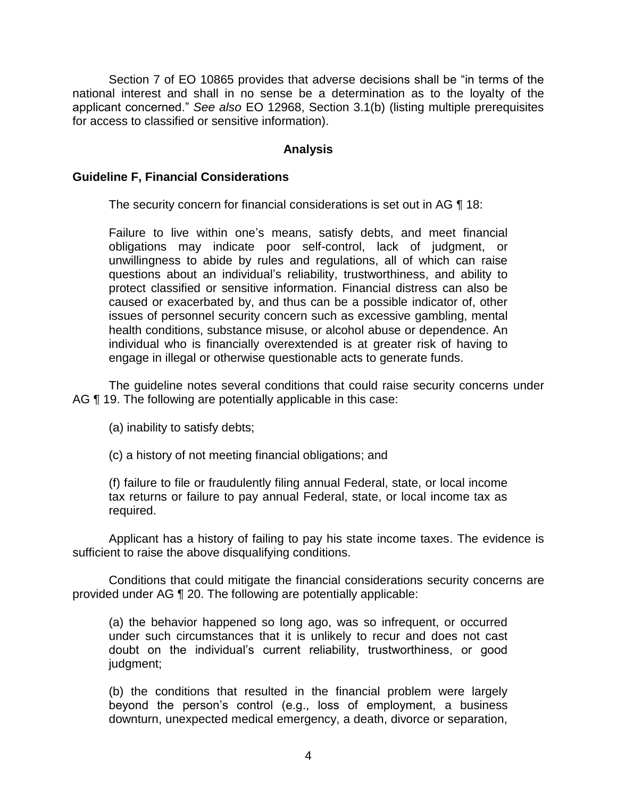Section 7 of EO 10865 provides that adverse decisions shall be "in terms of the national interest and shall in no sense be a determination as to the loyalty of the applicant concerned." *See also* EO 12968, Section 3.1(b) (listing multiple prerequisites for access to classified or sensitive information).

### **Analysis**

### **Guideline F, Financial Considerations**

The security concern for financial considerations is set out in AG ¶ 18:

Failure to live within one's means, satisfy debts, and meet financial obligations may indicate poor self-control, lack of judgment, or unwillingness to abide by rules and regulations, all of which can raise questions about an individual's reliability, trustworthiness, and ability to protect classified or sensitive information. Financial distress can also be caused or exacerbated by, and thus can be a possible indicator of, other issues of personnel security concern such as excessive gambling, mental health conditions, substance misuse, or alcohol abuse or dependence. An individual who is financially overextended is at greater risk of having to engage in illegal or otherwise questionable acts to generate funds.

 The guideline notes several conditions that could raise security concerns under AG ¶ 19. The following are potentially applicable in this case:

(a) inability to satisfy debts;

(c) a history of not meeting financial obligations; and

(f) failure to file or fraudulently filing annual Federal, state, or local income tax returns or failure to pay annual Federal, state, or local income tax as required.

 Applicant has a history of failing to pay his state income taxes. The evidence is sufficient to raise the above disqualifying conditions.

 provided under AG ¶ 20. The following are potentially applicable: Conditions that could mitigate the financial considerations security concerns are

(a) the behavior happened so long ago, was so infrequent, or occurred under such circumstances that it is unlikely to recur and does not cast doubt on the individual's current reliability, trustworthiness, or good judgment;

(b) the conditions that resulted in the financial problem were largely beyond the person's control (e.g., loss of employment, a business downturn, unexpected medical emergency, a death, divorce or separation,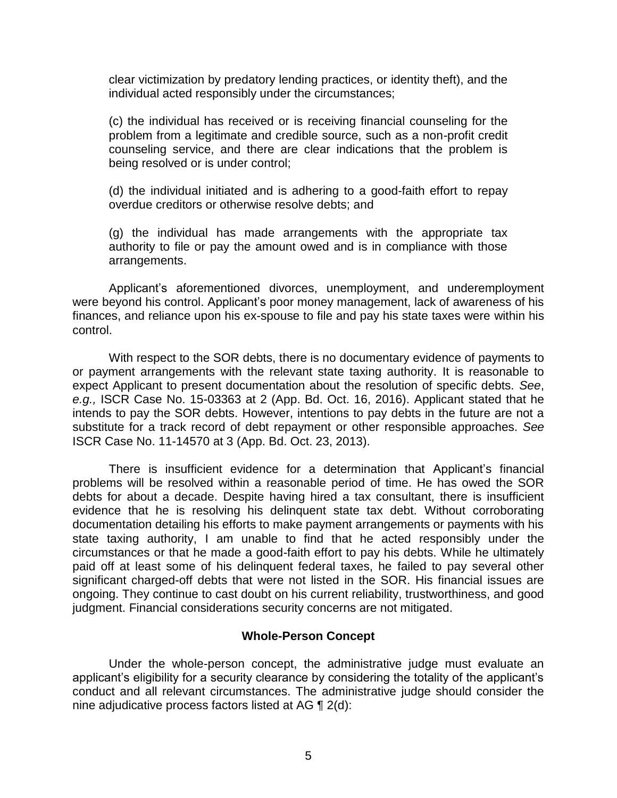clear victimization by predatory lending practices, or identity theft), and the individual acted responsibly under the circumstances;

(c) the individual has received or is receiving financial counseling for the problem from a legitimate and credible source, such as a non-profit credit counseling service, and there are clear indications that the problem is being resolved or is under control;

(d) the individual initiated and is adhering to a good-faith effort to repay overdue creditors or otherwise resolve debts; and

(g) the individual has made arrangements with the appropriate tax authority to file or pay the amount owed and is in compliance with those arrangements.

 were beyond his control. Applicant's poor money management, lack of awareness of his finances, and reliance upon his ex-spouse to file and pay his state taxes were within his Applicant's aforementioned divorces, unemployment, and underemployment control.

 With respect to the SOR debts, there is no documentary evidence of payments to or payment arrangements with the relevant state taxing authority. It is reasonable to expect Applicant to present documentation about the resolution of specific debts. *See*, *e.g.,* ISCR Case No. 15-03363 at 2 (App. Bd. Oct. 16, 2016). Applicant stated that he intends to pay the SOR debts. However, intentions to pay debts in the future are not a substitute for a track record of debt repayment or other responsible approaches. *See*  ISCR Case No. 11-14570 at 3 (App. Bd. Oct. 23, 2013).

 ISCR Case No. 11-14570 at 3 (App. Bd. Oct. 23, 2013). There is insufficient evidence for a determination that Applicant's financial problems will be resolved within a reasonable period of time. He has owed the SOR debts for about a decade. Despite having hired a tax consultant, there is insufficient evidence that he is resolving his delinquent state tax debt. Without corroborating state taxing authority, I am unable to find that he acted responsibly under the circumstances or that he made a good-faith effort to pay his debts. While he ultimately paid off at least some of his delinquent federal taxes, he failed to pay several other significant charged-off debts that were not listed in the SOR. His financial issues are ongoing. They continue to cast doubt on his current reliability, trustworthiness, and good documentation detailing his efforts to make payment arrangements or payments with his judgment. Financial considerations security concerns are not mitigated.

#### **Whole-Person Concept**

Under the whole-person concept, the administrative judge must evaluate an applicant's eligibility for a security clearance by considering the totality of the applicant's conduct and all relevant circumstances. The administrative judge should consider the nine adjudicative process factors listed at AG ¶ 2(d):